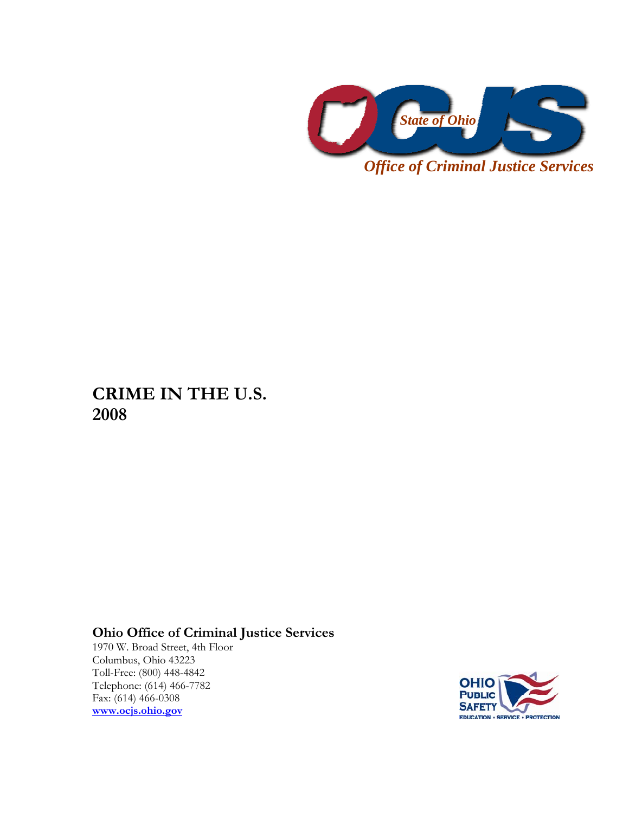

**CRIME IN THE U.S. 2008** 

## **Ohio Office of Criminal Justice Services**

1970 W. Broad Street, 4th Floor Columbus, Ohio 43223 Toll-Free: (800) 448-4842 Telephone: (614) 466-7782 Fax: (614) 466-0308 **[www.ocjs.ohio.gov](http://www.ocjs.ohio.gov/)**

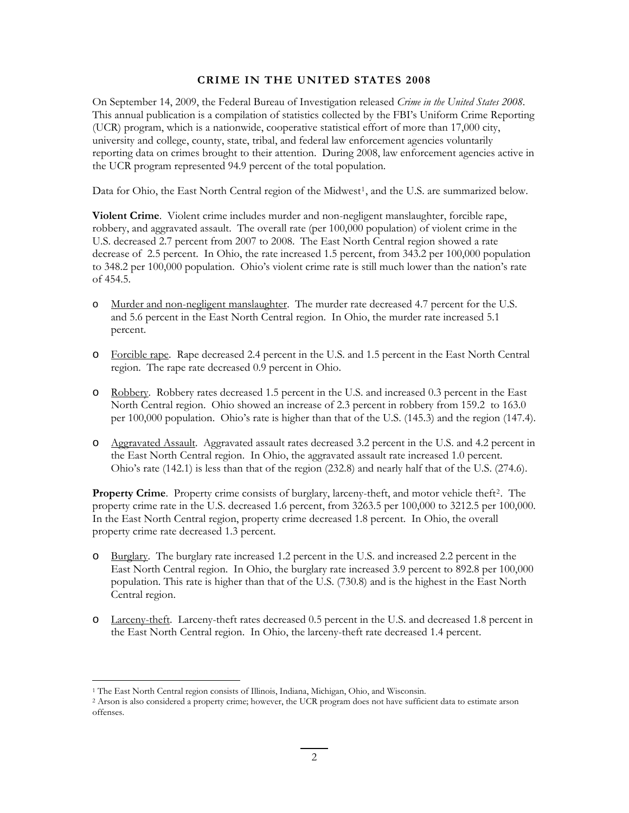## **CRIME IN THE UNITED STATES 2008**

On September 14, 2009, the Federal Bureau of Investigation released *Crime in the United States 2008*. This annual publication is a compilation of statistics collected by the FBI's Uniform Crime Reporting (UCR) program, which is a nationwide, cooperative statistical effort of more than 17,000 city, university and college, county, state, tribal, and federal law enforcement agencies voluntarily reporting data on crimes brought to their attention. During 2008, law enforcement agencies active in the UCR program represented 94.9 percent of the total population.

Data for Ohio, the East North Central region of the Midwest<sup>[1](#page-1-0)</sup>, and the U.S. are summarized below.

**Violent Crime**. Violent crime includes murder and non-negligent manslaughter, forcible rape, robbery, and aggravated assault. The overall rate (per 100,000 population) of violent crime in the U.S. decreased 2.7 percent from 2007 to 2008. The East North Central region showed a rate decrease of 2.5 percent. In Ohio, the rate increased 1.5 percent, from 343.2 per 100,000 population to 348.2 per 100,000 population. Ohio's violent crime rate is still much lower than the nation's rate of 454.5.

- o Murder and non-negligent manslaughter. The murder rate decreased 4.7 percent for the U.S. and 5.6 percent in the East North Central region. In Ohio, the murder rate increased 5.1 percent.
- o Forcible rape. Rape decreased 2.4 percent in the U.S. and 1.5 percent in the East North Central region. The rape rate decreased 0.9 percent in Ohio.
- o Robbery. Robbery rates decreased 1.5 percent in the U.S. and increased 0.3 percent in the East North Central region. Ohio showed an increase of 2.3 percent in robbery from 159.2 to 163.0 per 100,000 population. Ohio's rate is higher than that of the U.S. (145.3) and the region (147.4).
- o Aggravated Assault. Aggravated assault rates decreased 3.2 percent in the U.S. and 4.2 percent in the East North Central region. In Ohio, the aggravated assault rate increased 1.0 percent. Ohio's rate (142.1) is less than that of the region (232.8) and nearly half that of the U.S. (274.6).

**Property Crime**. Property crime consists of burglary, larceny-theft, and motor vehicle theft<sup>[2](#page-1-1)</sup>. The property crime rate in the U.S. decreased 1.6 percent, from 3263.5 per 100,000 to 3212.5 per 100,000. In the East North Central region, property crime decreased 1.8 percent. In Ohio, the overall property crime rate decreased 1.3 percent.

- o Burglary. The burglary rate increased 1.2 percent in the U.S. and increased 2.2 percent in the East North Central region. In Ohio, the burglary rate increased 3.9 percent to 892.8 per 100,000 population. This rate is higher than that of the U.S. (730.8) and is the highest in the East North Central region.
- o Larceny-theft. Larceny-theft rates decreased 0.5 percent in the U.S. and decreased 1.8 percent in the East North Central region. In Ohio, the larceny-theft rate decreased 1.4 percent.

<u>.</u>

<span id="page-1-0"></span><sup>1</sup> The East North Central region consists of Illinois, Indiana, Michigan, Ohio, and Wisconsin.

<span id="page-1-1"></span><sup>2</sup> Arson is also considered a property crime; however, the UCR program does not have sufficient data to estimate arson offenses.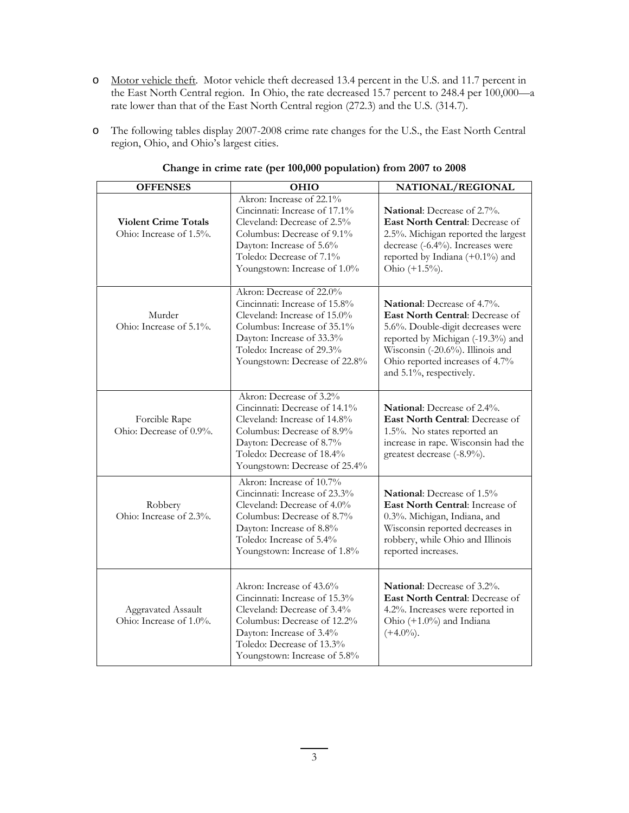- o Motor vehicle theft. Motor vehicle theft decreased 13.4 percent in the U.S. and 11.7 percent in the East North Central region. In Ohio, the rate decreased 15.7 percent to 248.4 per 100,000—a rate lower than that of the East North Central region (272.3) and the U.S. (314.7).
- o The following tables display 2007-2008 crime rate changes for the U.S., the East North Central region, Ohio, and Ohio's largest cities.

| <b>OFFENSES</b>                                        | OHIO                                                                                                                                                                                                                | NATIONAL/REGIONAL                                                                                                                                                                                                                          |
|--------------------------------------------------------|---------------------------------------------------------------------------------------------------------------------------------------------------------------------------------------------------------------------|--------------------------------------------------------------------------------------------------------------------------------------------------------------------------------------------------------------------------------------------|
| <b>Violent Crime Totals</b><br>Ohio: Increase of 1.5%. | Akron: Increase of 22.1%<br>Cincinnati: Increase of 17.1%<br>Cleveland: Decrease of 2.5%<br>Columbus: Decrease of 9.1%<br>Dayton: Increase of 5.6%<br>Toledo: Decrease of 7.1%<br>Youngstown: Increase of 1.0%      | <b>National:</b> Decrease of 2.7%.<br>East North Central: Decrease of<br>2.5%. Michigan reported the largest<br>decrease (-6.4%). Increases were<br>reported by Indiana $(+0.1\%)$ and<br>Ohio $(+1.5\%)$ .                                |
| Murder<br>Ohio: Increase of 5.1%.                      | Akron: Decrease of 22.0%<br>Cincinnati: Increase of 15.8%<br>Cleveland: Increase of 15.0%<br>Columbus: Increase of 35.1%<br>Dayton: Increase of 33.3%<br>Toledo: Increase of 29.3%<br>Youngstown: Decrease of 22.8% | National: Decrease of 4.7%.<br>East North Central: Decrease of<br>5.6%. Double-digit decreases were<br>reported by Michigan (-19.3%) and<br>Wisconsin (-20.6%). Illinois and<br>Ohio reported increases of 4.7%<br>and 5.1%, respectively. |
| Forcible Rape<br>Ohio: Decrease of 0.9%.               | Akron: Decrease of 3.2%<br>Cincinnati: Decrease of 14.1%<br>Cleveland: Increase of 14.8%<br>Columbus: Decrease of 8.9%<br>Dayton: Decrease of 8.7%<br>Toledo: Decrease of 18.4%<br>Youngstown: Decrease of 25.4%    | <b>National:</b> Decrease of 2.4%.<br>East North Central: Decrease of<br>1.5%. No states reported an<br>increase in rape. Wisconsin had the<br>greatest decrease (-8.9%).                                                                  |
| Robbery<br>Ohio: Increase of 2.3%.                     | Akron: Increase of 10.7%<br>Cincinnati: Increase of 23.3%<br>Cleveland: Decrease of 4.0%<br>Columbus: Decrease of 8.7%<br>Dayton: Increase of 8.8%<br>Toledo: Increase of 5.4%<br>Youngstown: Increase of 1.8%      | <b>National:</b> Decrease of 1.5%<br>East North Central: Increase of<br>0.3%. Michigan, Indiana, and<br>Wisconsin reported decreases in<br>robbery, while Ohio and Illinois<br>reported increases.                                         |
| <b>Aggravated Assault</b><br>Ohio: Increase of 1.0%.   | Akron: Increase of 43.6%<br>Cincinnati: Increase of 15.3%<br>Cleveland: Decrease of 3.4%<br>Columbus: Decrease of 12.2%<br>Dayton: Increase of 3.4%<br>Toledo: Decrease of 13.3%<br>Youngstown: Increase of 5.8%    | <b>National:</b> Decrease of 3.2%.<br>East North Central: Decrease of<br>4.2%. Increases were reported in<br>Ohio (+1.0%) and Indiana<br>$(+4.0\%)$ .                                                                                      |

## **Change in crime rate (per 100,000 population) from 2007 to 2008**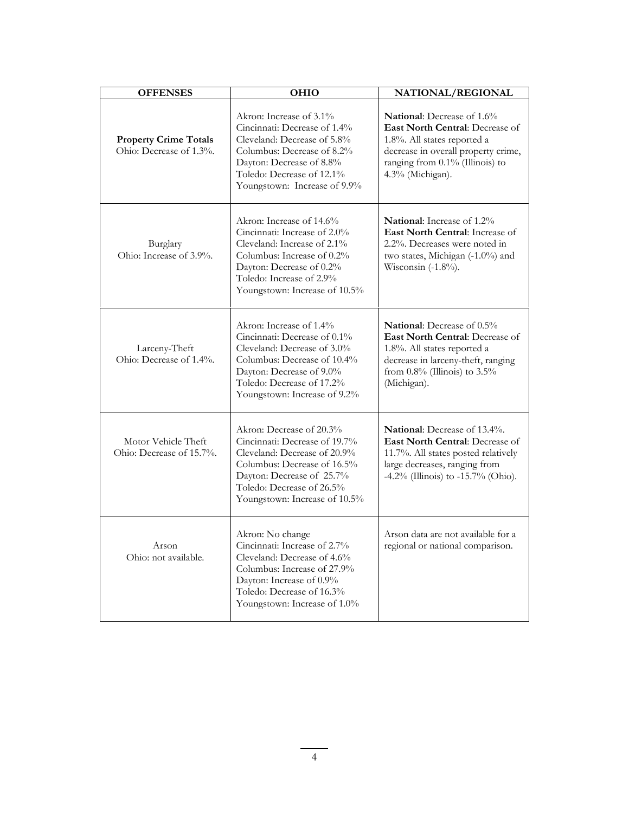| <b>OFFENSES</b>                                         | <b>OHIO</b>                                                                                                                                                                                                         | NATIONAL/REGIONAL                                                                                                                                                                                     |
|---------------------------------------------------------|---------------------------------------------------------------------------------------------------------------------------------------------------------------------------------------------------------------------|-------------------------------------------------------------------------------------------------------------------------------------------------------------------------------------------------------|
| <b>Property Crime Totals</b><br>Ohio: Decrease of 1.3%. | Akron: Increase of 3.1%<br>Cincinnati: Decrease of 1.4%<br>Cleveland: Decrease of 5.8%<br>Columbus: Decrease of 8.2%<br>Dayton: Decrease of 8.8%<br>Toledo: Decrease of 12.1%<br>Youngstown: Increase of 9.9%       | <b>National:</b> Decrease of 1.6%<br>East North Central: Decrease of<br>1.8%. All states reported a<br>decrease in overall property crime,<br>ranging from 0.1% (Illinois) to<br>4.3% (Michigan).     |
| Burglary<br>Ohio: Increase of 3.9%.                     | Akron: Increase of 14.6%<br>Cincinnati: Increase of 2.0%<br>Cleveland: Increase of 2.1%<br>Columbus: Increase of 0.2%<br>Dayton: Decrease of 0.2%<br>Toledo: Increase of 2.9%<br>Youngstown: Increase of 10.5%      | National: Increase of 1.2%<br>East North Central: Increase of<br>2.2%. Decreases were noted in<br>two states, Michigan (-1.0%) and<br>Wisconsin $(-1.8\%)$ .                                          |
| Larceny-Theft<br>Ohio: Decrease of 1.4%.                | Akron: Increase of 1.4%<br>Cincinnati: Decrease of 0.1%<br>Cleveland: Decrease of 3.0%<br>Columbus: Decrease of 10.4%<br>Dayton: Decrease of 9.0%<br>Toledo: Decrease of 17.2%<br>Youngstown: Increase of 9.2%      | <b>National:</b> Decrease of 0.5%<br><b>East North Central:</b> Decrease of<br>1.8%. All states reported a<br>decrease in larceny-theft, ranging<br>from $0.8\%$ (Illinois) to $3.5\%$<br>(Michigan). |
| Motor Vehicle Theft<br>Ohio: Decrease of 15.7%.         | Akron: Decrease of 20.3%<br>Cincinnati: Decrease of 19.7%<br>Cleveland: Decrease of 20.9%<br>Columbus: Decrease of 16.5%<br>Dayton: Decrease of 25.7%<br>Toledo: Decrease of 26.5%<br>Youngstown: Increase of 10.5% | National: Decrease of 13.4%.<br><b>East North Central:</b> Decrease of<br>11.7%. All states posted relatively<br>large decreases, ranging from<br>$-4.2\%$ (Illinois) to $-15.7\%$ (Ohio).            |
| Arson<br>Ohio: not available.                           | Akron: No change<br>Cincinnati: Increase of 2.7%<br>Cleveland: Decrease of 4.6%<br>Columbus: Increase of 27.9%<br>Dayton: Increase of 0.9%<br>Toledo: Decrease of 16.3%<br>Youngstown: Increase of 1.0%             | Arson data are not available for a<br>regional or national comparison.                                                                                                                                |